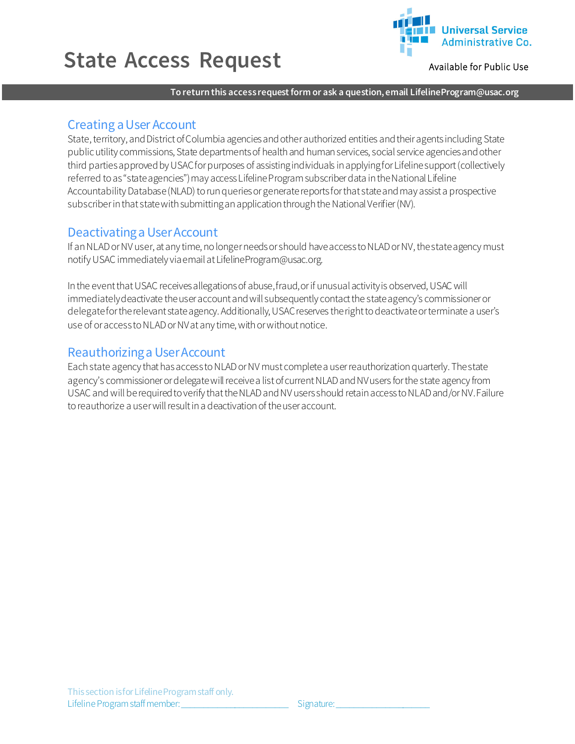# **State Access Request**



Available for Public Use

**To return this access request form or ask a question, email LifelineProgram@usac.org**

## Creating a User Account

State, territory, and District of Columbia agencies and other authorized entities and their agents including State public utility commissions, State departments of health and human services, social service agencies and other third parties approved by USAC for purposes of assisting individuals in applying for Lifeline support (collectively referred to as "state agencies") may access Lifeline Program subscriber data in the National Lifeline Accountability Database (NLAD) to run queries or generate reports for that stateand may assist a prospective subscriber in that state with submittingan application through the National Verifier (NV).

## Deactivating a User Account

If an NLAD or NV user, at any time, no longer needs or should have access to NLAD or NV, the state agency must notify USAC immediately via email at LifelineProgram@usac.org.

In the event that USAC receives allegations of abuse, fraud, or if unusual activity is observed, USAC will immediately deactivate the user account and will subsequently contact the state agency's commissioneror delegate for the relevant state agency. Additionally, USAC reserves the right to deactivateor terminate a user's use of or access to NLADor NVat any time, with or without notice.

## Reauthorizing a User Account

Each state agency that has access to NLADor NV must complete a user reauthorization quarterly. The state agency's commissioner or delegate will receive a list of current NLAD and NV users for the state agency from USAC and will be required to verify that the NLADand NV users should retain access to NLADand/or NV. Failure to reauthorize a user will result in a deactivation of the useraccount.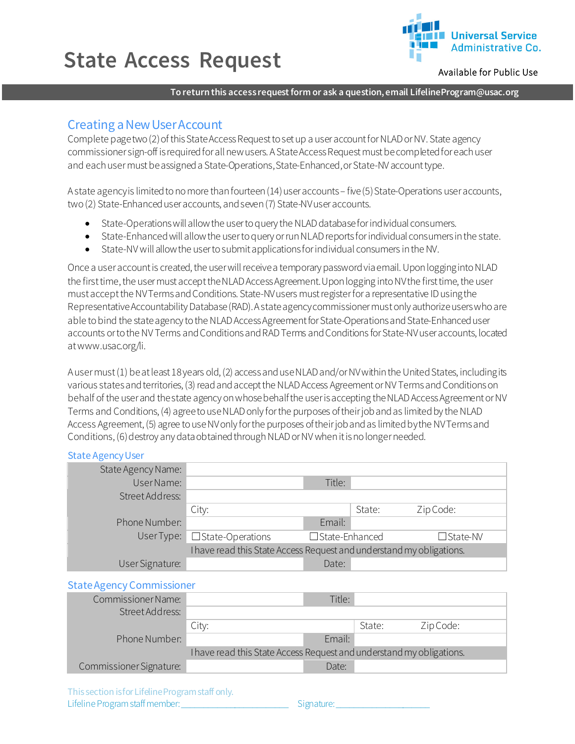# **State Access Request**



Available for Public Use

### **To return this access request form or ask a question, email LifelineProgram@usac.org**

### Creating a New User Account

Complete page two (2) of this State Access Request to set up a user account for NLADor NV. State agency commissioner sign-off is required for all new users. AState Access Request must be completed for each user and each user must be assigned a State-Operations, State-Enhanced, or State-NV account type.

A state agency is limited to no more than fourteen (14) user accounts – five (5) State-Operations user accounts, two (2) State-Enhanced user accounts, and seven (7) State-NV user accounts.

- State-Operations will allow the user to query the NLAD database for individual consumers.
- State-Enhanced willallow the user toquery orrun NLAD reports for individual consumers in the state.
- State-NV will allow the user to submit applications for individual consumers in the NV.

Once a user account is created, the user will receive a temporary password via email. Upon logging into NLAD the first time, the user must accept the NLAD Access Agreement. Upon logging into NV the first time, the user must accept the NV Terms and Conditions. State-NV users must register for a representative ID using the Representative Accountability Database (RAD). A state agency commissioner must only authorize users who are able to bind the state agency to the NLAD Access Agreement for State-Operations and State-Enhanced user accounts or to the NV Terms and Conditions and RAD Terms and Conditions for State-NV user accounts, located at www.usac.org/li.

A user must (1) be at least 18 years old, (2) access and use NLAD and/or NV within the United States, including its various states and territories, (3) read and accept the NLAD Access Agreement or NV Terms and Conditions on behalf of the user and the state agency on whose behalf the user is accepting the NLAD Access Agreementor NV Terms and Conditions, (4) agree to use NLAD only for the purposes of their job and as limited by the NLAD Access Agreement, (5) agree to use NV only for the purposes of their job and as limited bythe NV Terms and Conditions, (6) destroy any data obtained through NLAD or NV when it is no longer needed.

#### State Agency User

| State Agency Name: |                                                                      |                       |        |            |
|--------------------|----------------------------------------------------------------------|-----------------------|--------|------------|
| User Name:         |                                                                      | Title:                |        |            |
| Street Address:    |                                                                      |                       |        |            |
|                    | City:                                                                |                       | State: | Zip Code:  |
| Phone Number:      |                                                                      | Email:                |        |            |
|                    | User Type: $\Box$ State-Operations                                   | $\Box$ State-Enhanced |        | □ State-NV |
|                    | I have read this State Access Request and understand my obligations. |                       |        |            |
| User Signature:    |                                                                      | Date:                 |        |            |

#### State Agency Commissioner

| Commissioner Name:      |                                                                      | Title: |        |           |
|-------------------------|----------------------------------------------------------------------|--------|--------|-----------|
| Street Address:         |                                                                      |        |        |           |
|                         | City:                                                                |        | State: | Zip Code: |
| Phone Number:           |                                                                      | Email: |        |           |
|                         | I have read this State Access Request and understand my obligations. |        |        |           |
| Commissioner Signature: |                                                                      | Date:  |        |           |